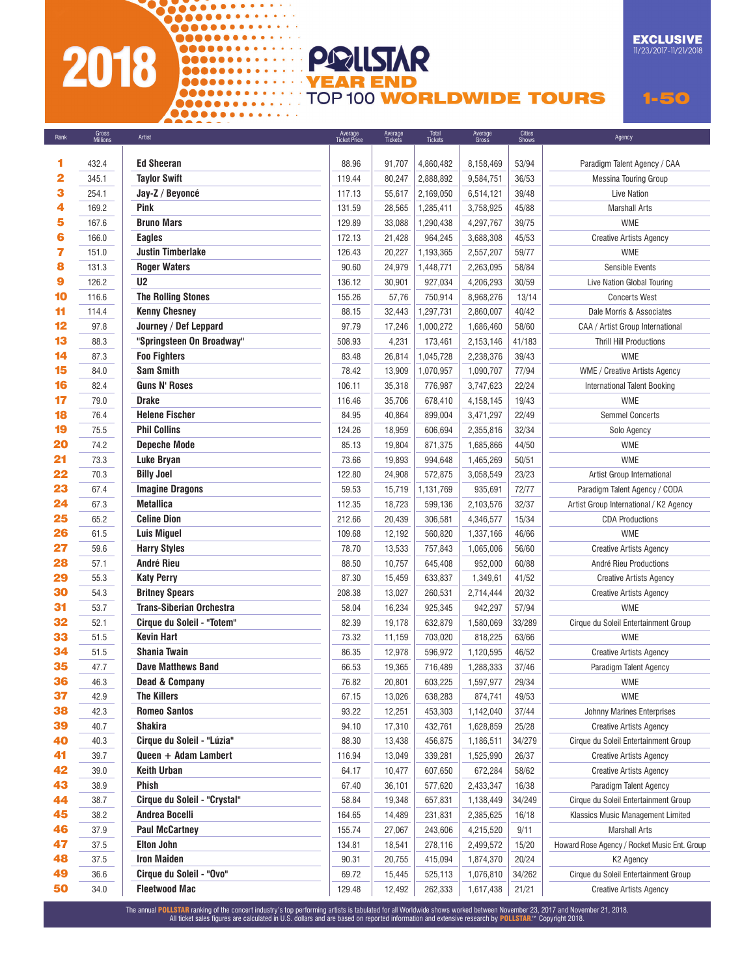## and and and an 2018

000000000000000

## **EXCLUSIVE**<br>11/23/2017-11/21/2018

00000000000000 **TOP 100 WORLDWIDE TOURS** 

PRILSTAR

**YEAR END** 

 $1 - 50$ 

| Rank | aruss<br>Millions | Artist                          | Average<br>Ticket Price | Average<br>Tickets | Tickets   | Average<br>Gross | Shows  | Agency                                       |
|------|-------------------|---------------------------------|-------------------------|--------------------|-----------|------------------|--------|----------------------------------------------|
| 1    | 432.4             | <b>Ed Sheeran</b>               | 88.96                   | 91,707             | 4,860,482 | 8,158,469        | 53/94  | Paradigm Talent Agency / CAA                 |
| 2    | 345.1             | <b>Tavlor Swift</b>             | 119.44                  | 80,247             | 2,888,892 | 9,584,751        | 36/53  | <b>Messina Touring Group</b>                 |
| 3    | 254.1             | Jay-Z / Beyoncé                 | 117.13                  | 55,617             | 2,169,050 | 6,514,121        | 39/48  | Live Nation                                  |
| 4    | 169.2             | <b>Pink</b>                     | 131.59                  | 28,565             | 1,285,411 | 3,758,925        | 45/88  | Marshall Arts                                |
| 5    | 167.6             | <b>Bruno Mars</b>               | 129.89                  | 33,088             | 1,290,438 | 4,297,767        | 39/75  | <b>WME</b>                                   |
| 6    | 166.0             | <b>Eagles</b>                   | 172.13                  | 21,428             | 964,245   | 3,688,308        | 45/53  | <b>Creative Artists Agency</b>               |
| 7    | 151.0             | <b>Justin Timberlake</b>        | 126.43                  | 20,227             | 1,193,365 | 2,557,207        | 59/77  | <b>WME</b>                                   |
| 8    | 131.3             | <b>Roger Waters</b>             | 90.60                   | 24,979             | 1,448,771 | 2,263,095        | 58/84  | Sensible Events                              |
| 9    | 126.2             | U <sub>2</sub>                  | 136.12                  | 30,901             | 927,034   | 4,206,293        | 30/59  | Live Nation Global Touring                   |
| 10   | 116.6             | <b>The Rolling Stones</b>       | 155.26                  | 57,76              | 750,914   | 8,968,276        | 13/14  | <b>Concerts West</b>                         |
| 11   | 114.4             | <b>Kenny Chesney</b>            | 88.15                   | 32,443             | 1,297,731 | 2,860,007        | 40/42  | Dale Morris & Associates                     |
| 12   | 97.8              | Journey / Def Leppard           | 97.79                   | 17,246             | 1,000,272 | 1,686,460        | 58/60  | CAA / Artist Group International             |
| 13   | 88.3              | "Springsteen On Broadway"       | 508.93                  | 4,231              | 173,461   | 2,153,146        | 41/183 | <b>Thrill Hill Productions</b>               |
| 14   | 87.3              | <b>Foo Fighters</b>             | 83.48                   | 26,814             | 1,045,728 | 2,238,376        | 39/43  | <b>WME</b>                                   |
| 15   | 84.0              | <b>Sam Smith</b>                | 78.42                   | 13,909             | 1,070,957 | 1,090,707        | 77/94  | <b>WME</b> / Creative Artists Agency         |
| 16   | 82.4              | <b>Guns N' Roses</b>            | 106.11                  | 35,318             | 776,987   | 3,747,623        | 22/24  | <b>International Talent Booking</b>          |
| 17   | 79.0              | <b>Drake</b>                    | 116.46                  | 35,706             | 678,410   | 4,158,145        | 19/43  | <b>WME</b>                                   |
| 18   | 76.4              | <b>Helene Fischer</b>           | 84.95                   | 40,864             | 899,004   | 3,471,297        | 22/49  | <b>Semmel Concerts</b>                       |
| 19   | 75.5              | <b>Phil Collins</b>             | 124.26                  | 18,959             | 606,694   | 2,355,816        | 32/34  | Solo Agency                                  |
| 20   | 74.2              | <b>Depeche Mode</b>             | 85.13                   | 19,804             | 871,375   | 1,685,866        | 44/50  | <b>WME</b>                                   |
| 21   | 73.3              | <b>Luke Bryan</b>               | 73.66                   | 19,893             | 994,648   | 1,465,269        | 50/51  | <b>WME</b>                                   |
| 22   | 70.3              | <b>Billy Joel</b>               | 122.80                  | 24,908             | 572,875   | 3,058,549        | 23/23  | Artist Group International                   |
| 23   | 67.4              | <b>Imagine Dragons</b>          | 59.53                   | 15,719             | 1,131,769 | 935,691          | 72/77  | Paradigm Talent Agency / CODA                |
| 24   | 67.3              | <b>Metallica</b>                | 112.35                  | 18,723             | 599,136   | 2,103,576        | 32/37  | Artist Group International / K2 Agency       |
| 25   | 65.2              | <b>Celine Dion</b>              | 212.66                  | 20,439             | 306,581   | 4,346,577        | 15/34  | <b>CDA Productions</b>                       |
| 26   | 61.5              | <b>Luis Miguel</b>              | 109.68                  | 12,192             | 560,820   | 1,337,166        | 46/66  | <b>WME</b>                                   |
| 27   | 59.6              | <b>Harry Styles</b>             | 78.70                   | 13,533             | 757,843   | 1,065,006        | 56/60  | <b>Creative Artists Agency</b>               |
| 28   | 57.1              | André Rieu                      | 88.50                   | 10,757             | 645,408   | 952,000          | 60/88  | André Rieu Productions                       |
| 29   | 55.3              | <b>Katy Perry</b>               | 87.30                   | 15,459             | 633,837   | 1,349,61         | 41/52  | <b>Creative Artists Agency</b>               |
| 30   | 54.3              | <b>Britney Spears</b>           | 208.38                  | 13,027             | 260,531   | 2,714,444        | 20/32  | <b>Creative Artists Agency</b>               |
| 31   | 53.7              | <b>Trans-Siberian Orchestra</b> | 58.04                   | 16,234             | 925,345   | 942,297          | 57/94  | <b>WME</b>                                   |
| 32   | 52.1              | Cirque du Soleil - "Totem"      | 82.39                   | 19,178             | 632,879   | 1,580,069        | 33/289 | Cirque du Soleil Entertainment Group         |
| 33   | 51.5              | <b>Kevin Hart</b>               | 73.32                   | 11,159             | 703,020   | 818,225          | 63/66  | <b>WME</b>                                   |
| 34   | 51.5              | <b>Shania Twain</b>             | 86.35                   | 12,978             | 596,972   | 1,120,595        | 46/52  | <b>Creative Artists Agency</b>               |
| 35   | 47.7              | <b>Dave Matthews Band</b>       | 66.53                   | 19,365             | 716,489   | 1,288,333        | 37/46  | Paradigm Talent Agency                       |
| 36   | 46.3              | <b>Dead &amp; Company</b>       | 76.82                   | 20,801             | 603,225   | 1,597,977        | 29/34  | <b>WME</b>                                   |
| 37   | 42.9              | <b>The Killers</b>              | 67.15                   | 13,026             | 638,283   | 874,741          | 49/53  | <b>WME</b>                                   |
| 38   | 42.3              | <b>Romeo Santos</b>             | 93.22                   | 12,251             | 453,303   | 1,142,040        | 37/44  | <b>Johnny Marines Enterprises</b>            |
| 39   | 40.7              | <b>Shakira</b>                  | 94.10                   | 17,310             | 432,761   | 1,628,859        | 25/28  | <b>Creative Artists Agency</b>               |
| 40   | 40.3              | Cirque du Soleil - "Lúzia"      | 88.30                   | 13,438             | 456,875   | 1,186,511        | 34/279 | Cirque du Soleil Entertainment Group         |
| 41   | 39.7              | Queen + Adam Lambert            | 116.94                  | 13,049             | 339,281   | 1,525,990        | 26/37  | <b>Creative Artists Agency</b>               |
| 42   | 39.0              | <b>Keith Urban</b>              | 64.17                   | 10,477             | 607,650   | 672,284          | 58/62  | <b>Creative Artists Agency</b>               |
| 43   | 38.9              | <b>Phish</b>                    | 67.40                   | 36,101             | 577,620   | 2,433,347        | 16/38  | Paradigm Talent Agency                       |
| 44   | 38.7              | Cirque du Soleil - "Crystal"    | 58.84                   | 19,348             | 657,831   | 1,138,449        | 34/249 | Cirque du Soleil Entertainment Group         |
| 45   | 38.2              | <b>Andrea Bocelli</b>           | 164.65                  | 14,489             | 231,831   | 2,385,625        | 16/18  | Klassics Music Management Limited            |
| 46   | 37.9              | <b>Paul McCartney</b>           | 155.74                  | 27,067             | 243,606   | 4,215,520        | 9/11   | Marshall Arts                                |
| 47   | 37.5              | <b>Elton John</b>               | 134.81                  | 18,541             | 278,116   | 2,499,572        | 15/20  | Howard Rose Agency / Rocket Music Ent. Group |
| 48   | 37.5              | <b>Iron Maiden</b>              | 90.31                   | 20,755             | 415,094   | 1,874,370        | 20/24  | K <sub>2</sub> Agency                        |
| 49   | 36.6              | Cirque du Soleil - "Ovo"        | 69.72                   | 15,445             | 525,113   | 1,076,810        | 34/262 | Cirque du Soleil Entertainment Group         |
| 50   | 34.0              | <b>Fleetwood Mac</b>            | 129.48                  | 12,492             | 262,333   | 1,617,438        | 21/21  | <b>Creative Artists Agency</b>               |

The annual POLLSTAR ranking of the concert industry's top performing artists is tabulated for all Worldwide shows worked between November 23, 2017 and November 21, 2018.<br>All ticket sales figures are calculated in U.S. doll